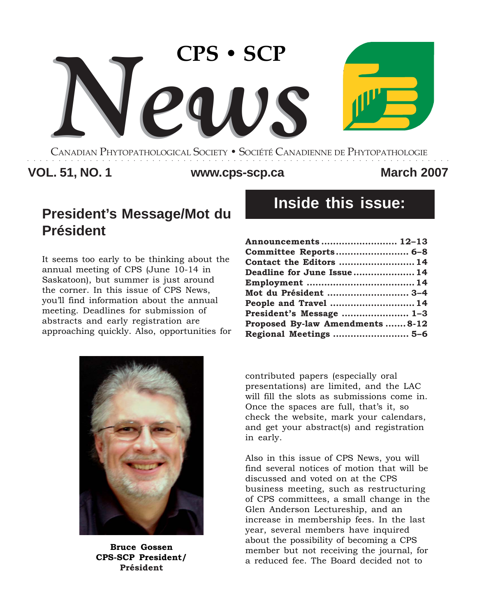

CANADIAN PHYTOPATHOLOGICAL SOCIETY **•** SOCIÉTÉ CANADIENNE DE PHYTOPATHOLOGIE ○○○○○○○○○○○○○○○○○○○○○○○○○○○○○○○○○○○○○○○○○○○○○○○○○○○○○○○○○○○○○○○○○○○○

### **VOL. 51, NO. 1 March 2007 www.cps-scp.ca**

# **President's Message/Mot du Président**

It seems too early to be thinking about the annual meeting of CPS (June 10-14 in Saskatoon), but summer is just around the corner. In this issue of CPS News, you'll find information about the annual meeting. Deadlines for submission of abstracts and early registration are approaching quickly. Also, opportunities for



**Bruce Gossen CPS-SCP President/ Président**

# **Inside this issue:**

| Announcements  12-13           |  |
|--------------------------------|--|
| Committee Reports 6-8          |  |
| Contact the Editors  14        |  |
| Deadline for June Issue 14     |  |
|                                |  |
| Mot du Président  3-4          |  |
| People and Travel  14          |  |
| President's Message  1-3       |  |
| Proposed By-law Amendments8-12 |  |
| Regional Meetings  5-6         |  |

contributed papers (especially oral presentations) are limited, and the LAC will fill the slots as submissions come in. Once the spaces are full, that's it, so check the website, mark your calendars, and get your abstract(s) and registration in early.

Also in this issue of CPS News, you will find several notices of motion that will be discussed and voted on at the CPS business meeting, such as restructuring of CPS committees, a small change in the Glen Anderson Lectureship, and an increase in membership fees. In the last year, several members have inquired about the possibility of becoming a CPS member but not receiving the journal, for a reduced fee. The Board decided not to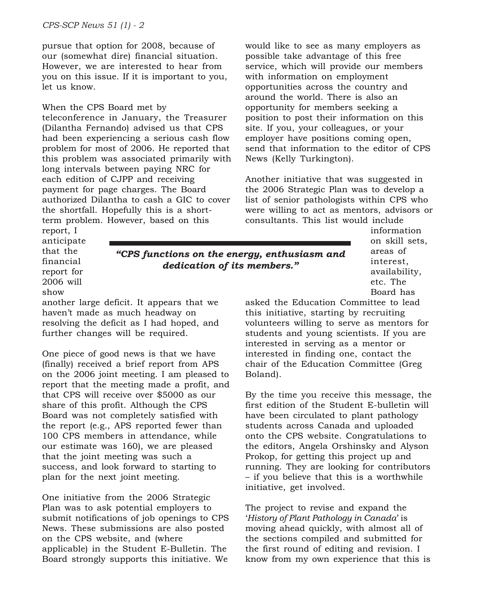pursue that option for 2008, because of our (somewhat dire) financial situation. However, we are interested to hear from you on this issue. If it is important to you, let us know.

#### When the CPS Board met by

teleconference in January, the Treasurer (Dilantha Fernando) advised us that CPS had been experiencing a serious cash flow problem for most of 2006. He reported that this problem was associated primarily with long intervals between paying NRC for each edition of CJPP and receiving payment for page charges. The Board authorized Dilantha to cash a GIC to cover the shortfall. Hopefully this is a shortterm problem. However, based on this

would like to see as many employers as possible take advantage of this free service, which will provide our members with information on employment opportunities across the country and around the world. There is also an opportunity for members seeking a position to post their information on this site. If you, your colleagues, or your employer have positions coming open, send that information to the editor of CPS News (Kelly Turkington).

Another initiative that was suggested in the 2006 Strategic Plan was to develop a list of senior pathologists within CPS who were willing to act as mentors, advisors or consultants. This list would include

report, I anticipate that the financial report for 2006 will show

*"CPS functions on the energy, enthusiasm and dedication of its members."*

another large deficit. It appears that we haven't made as much headway on resolving the deficit as I had hoped, and further changes will be required.

One piece of good news is that we have (finally) received a brief report from APS on the 2006 joint meeting. I am pleased to report that the meeting made a profit, and that CPS will receive over \$5000 as our share of this profit. Although the CPS Board was not completely satisfied with the report (e.g., APS reported fewer than 100 CPS members in attendance, while our estimate was 160), we are pleased that the joint meeting was such a success, and look forward to starting to plan for the next joint meeting.

One initiative from the 2006 Strategic Plan was to ask potential employers to submit notifications of job openings to CPS News. These submissions are also posted on the CPS website, and (where applicable) in the Student E-Bulletin. The Board strongly supports this initiative. We

information on skill sets, areas of interest, availability, etc. The Board has

asked the Education Committee to lead this initiative, starting by recruiting volunteers willing to serve as mentors for students and young scientists. If you are interested in serving as a mentor or interested in finding one, contact the chair of the Education Committee (Greg Boland).

By the time you receive this message, the first edition of the Student E-bulletin will have been circulated to plant pathology students across Canada and uploaded onto the CPS website. Congratulations to the editors, Angela Orshinsky and Alyson Prokop, for getting this project up and running. They are looking for contributors – if you believe that this is a worthwhile initiative, get involved.

The project to revise and expand the '*History of Plant Pathology in Canada*' is moving ahead quickly, with almost all of the sections compiled and submitted for the first round of editing and revision. I know from my own experience that this is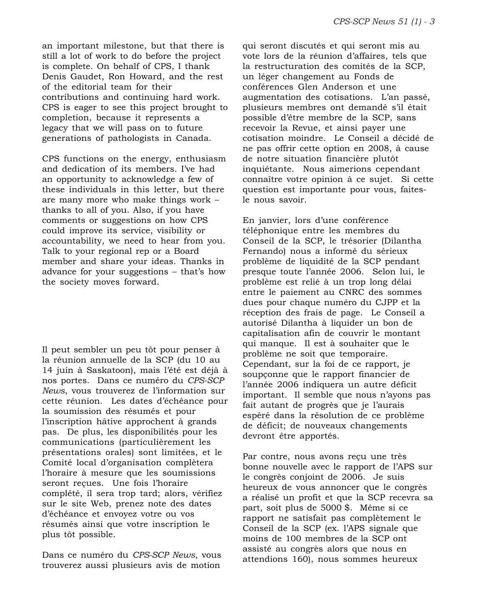an important milestone, but that there is still a lot of work to do before the project is complete. On behalf of CPS, I thank Denis Gaudet, Ron Howard, and the rest of the editorial team for their contributions and continuing hard work. CPS is eager to see this project brought to completion, because it represents a legacy that we will pass on to future generations of pathologists in Canada.

CPS functions on the energy, enthusiasm and dedication of its members. I've had an opportunity to acknowledge a few of these individuals in this letter, but there are many more who make things work – thanks to all of you. Also, if you have comments or suggestions on how CPS could improve its service, visibility or accountability, we need to hear from you. Talk to your regional rep or a Board member and share your ideas. Thanks in advance for your suggestions – that's how the society moves forward.

Il peut sembler un peu tôt pour penser à la réunion annuelle de la SCP (du 10 au 14 juin à Saskatoon), mais l'été est déjà à nos portes. Dans ce numéro du *CPS-SCP News*, vous trouverez de l'information sur cette réunion. Les dates d'échéance pour la soumission des résumés et pour l'inscription hâtive approchent à grands pas. De plus, les disponibilités pour les communications (particulièrement les présentations orales) sont limitées, et le Comité local d'organisation complètera l'horaire à mesure que les soumissions seront reçues. Une fois l'horaire complété, il sera trop tard; alors, vérifiez sur le site Web, prenez note des dates d'échéance et envoyez votre ou vos résumés ainsi que votre inscription le plus tôt possible.

Dans ce numéro du *CPS-SCP News*, vous trouverez aussi plusieurs avis de motion

qui seront discutés et qui seront mis au vote lors de la réunion d'affaires, tels que la restructuration des comités de la SCP, un léger changement au Fonds de conférences Glen Anderson et une augmentation des cotisations. L'an passé, plusieurs membres ont demandé s'il était possible d'être membre de la SCP, sans recevoir la Revue, et ainsi payer une cotisation moindre. Le Conseil a décidé de ne pas offrir cette option en 2008, à cause de notre situation financière plutôt inquiétante. Nous aimerions cependant connaître votre opinion à ce sujet. Si cette question est importante pour vous, faitesle nous savoir.

En janvier, lors d'une conférence téléphonique entre les membres du Conseil de la SCP, le trésorier (Dilantha Fernando) nous a informé du sérieux problème de liquidité de la SCP pendant presque toute l'année 2006. Selon lui, le problème est relié à un trop long délai entre le paiement au CNRC des sommes dues pour chaque numéro du CJPP et la réception des frais de page. Le Conseil a autorisé Dilantha à liquider un bon de capitalisation afin de couvrir le montant qui manque. Il est à souhaiter que le problème ne soit que temporaire. Cependant, sur la foi de ce rapport, je soupçonne que le rapport financier de l'année 2006 indiquera un autre déficit important. Il semble que nous n'ayons pas fait autant de progrès que je l'aurais espéré dans la résolution de ce problème de déficit; de nouveaux changements devront être apportés.

Par contre, nous avons reçu une très bonne nouvelle avec le rapport de l'APS sur le congrès conjoint de 2006. Je suis heureux de vous annoncer que le congrès a réalisé un profit et que la SCP recevra sa part, soit plus de 5000 \$. Même si ce rapport ne satisfait pas complètement le Conseil de la SCP (ex. l'APS signale que moins de 100 membres de la SCP ont assisté au congrès alors que nous en attendions 160), nous sommes heureux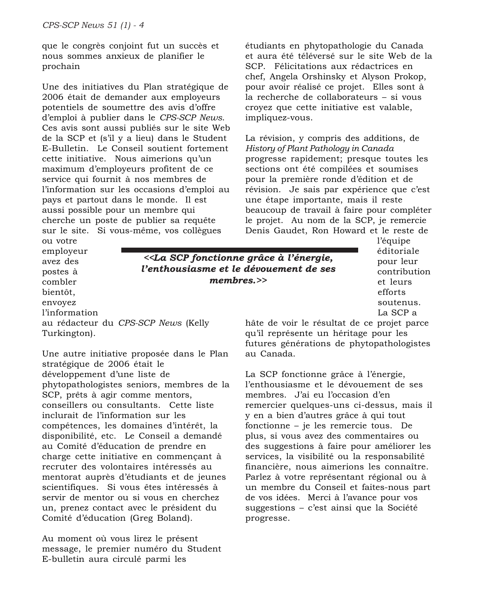que le congrès conjoint fut un succès et nous sommes anxieux de planifier le prochain

Une des initiatives du Plan stratégique de 2006 était de demander aux employeurs potentiels de soumettre des avis d'offre d'emploi à publier dans le *CPS-SCP News*. Ces avis sont aussi publiés sur le site Web de la SCP et (s'il y a lieu) dans le Student E-Bulletin. Le Conseil soutient fortement cette initiative. Nous aimerions qu'un maximum d'employeurs profitent de ce service qui fournit à nos membres de l'information sur les occasions d'emploi au pays et partout dans le monde. Il est aussi possible pour un membre qui cherche un poste de publier sa requête sur le site. Si vous-même, vos collègues ou votre

étudiants en phytopathologie du Canada et aura été téléversé sur le site Web de la SCP. Félicitations aux rédactrices en chef, Angela Orshinsky et Alyson Prokop, pour avoir réalisé ce projet. Elles sont à la recherche de collaborateurs – si vous croyez que cette initiative est valable, impliquez-vous.

La révision, y compris des additions, de *History of Plant Pathology in Canada* progresse rapidement; presque toutes les sections ont été compilées et soumises pour la première ronde d'édition et de révision. Je sais par expérience que c'est une étape importante, mais il reste beaucoup de travail à faire pour compléter le projet. Au nom de la SCP, je remercie Denis Gaudet, Ron Howard et le reste de

avez des postes à combler bientôt, envoyez l'information au rédacteur du *CPS-SCP News* (Kelly Turkington).

employeur

Une autre initiative proposée dans le Plan stratégique de 2006 était le développement d'une liste de phytopathologistes seniors, membres de la SCP, prêts à agir comme mentors, conseillers ou consultants. Cette liste inclurait de l'information sur les compétences, les domaines d'intérêt, la disponibilité, etc. Le Conseil a demandé au Comité d'éducation de prendre en charge cette initiative en commençant à recruter des volontaires intéressés au mentorat auprès d'étudiants et de jeunes scientifiques. Si vous êtes intéressés à servir de mentor ou si vous en cherchez un, prenez contact avec le président du Comité d'éducation (Greg Boland).

Au moment où vous lirez le présent message, le premier numéro du Student E-bulletin aura circulé parmi les

*<<La SCP fonctionne grâce à l'énergie, l'enthousiasme et le dévouement de ses membres.>>*

l'équipe éditoriale pour leur contribution et leurs efforts soutenus. La SCP a

hâte de voir le résultat de ce projet parce qu'il représente un héritage pour les futures générations de phytopathologistes au Canada.

La SCP fonctionne grâce à l'énergie, l'enthousiasme et le dévouement de ses membres. J'ai eu l'occasion d'en remercier quelques-uns ci-dessus, mais il y en a bien d'autres grâce à qui tout fonctionne – je les remercie tous. De plus, si vous avez des commentaires ou des suggestions à faire pour améliorer les services, la visibilité ou la responsabilité financière, nous aimerions les connaître. Parlez à votre représentant régional ou à un membre du Conseil et faites-nous part de vos idées. Merci à l'avance pour vos suggestions – c'est ainsi que la Société progresse.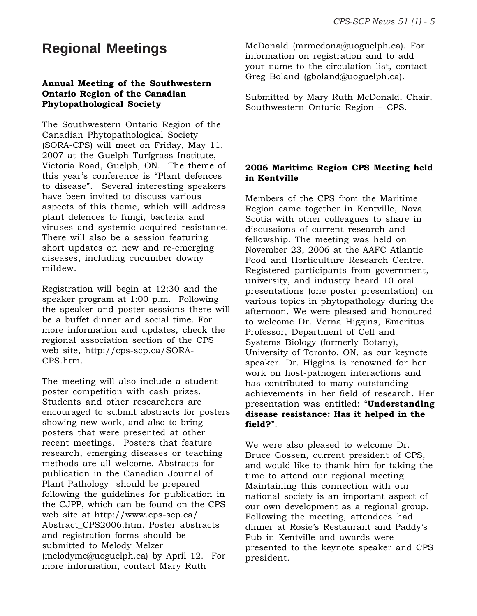### **Regional Meetings**

#### **Annual Meeting of the Southwestern Ontario Region of the Canadian Phytopathological Society**

The Southwestern Ontario Region of the Canadian Phytopathological Society (SORA-CPS) will meet on Friday, May 11, 2007 at the Guelph Turfgrass Institute, Victoria Road, Guelph, ON. The theme of this year's conference is "Plant defences to disease". Several interesting speakers have been invited to discuss various aspects of this theme, which will address plant defences to fungi, bacteria and viruses and systemic acquired resistance. There will also be a session featuring short updates on new and re-emerging diseases, including cucumber downy mildew.

Registration will begin at 12:30 and the speaker program at 1:00 p.m. Following the speaker and poster sessions there will be a buffet dinner and social time. For more information and updates, check the regional association section of the CPS web site, http://cps-scp.ca/SORA-CPS.htm.

The meeting will also include a student poster competition with cash prizes. Students and other researchers are encouraged to submit abstracts for posters showing new work, and also to bring posters that were presented at other recent meetings. Posters that feature research, emerging diseases or teaching methods are all welcome. Abstracts for publication in the Canadian Journal of Plant Pathology should be prepared following the guidelines for publication in the CJPP, which can be found on the CPS web site at http://www.cps-scp.ca/ Abstract\_CPS2006.htm. Poster abstracts and registration forms should be submitted to Melody Melzer (melodyme@uoguelph.ca) by April 12. For more information, contact Mary Ruth

McDonald (mrmcdona@uoguelph.ca). For information on registration and to add your name to the circulation list, contact Greg Boland (gboland@uoguelph.ca).

Submitted by Mary Ruth McDonald, Chair, Southwestern Ontario Region – CPS.

#### **2006 Maritime Region CPS Meeting held in Kentville**

Members of the CPS from the Maritime Region came together in Kentville, Nova Scotia with other colleagues to share in discussions of current research and fellowship. The meeting was held on November 23, 2006 at the AAFC Atlantic Food and Horticulture Research Centre. Registered participants from government, university, and industry heard 10 oral presentations (one poster presentation) on various topics in phytopathology during the afternoon. We were pleased and honoured to welcome Dr. Verna Higgins, Emeritus Professor, Department of Cell and Systems Biology (formerly Botany), University of Toronto, ON, as our keynote speaker. Dr. Higgins is renowned for her work on host-pathogen interactions and has contributed to many outstanding achievements in her field of research. Her presentation was entitled: "**Understanding disease resistance: Has it helped in the field?**".

We were also pleased to welcome Dr. Bruce Gossen, current president of CPS, and would like to thank him for taking the time to attend our regional meeting. Maintaining this connection with our national society is an important aspect of our own development as a regional group. Following the meeting, attendees had dinner at Rosie's Restaurant and Paddy's Pub in Kentville and awards were presented to the keynote speaker and CPS president.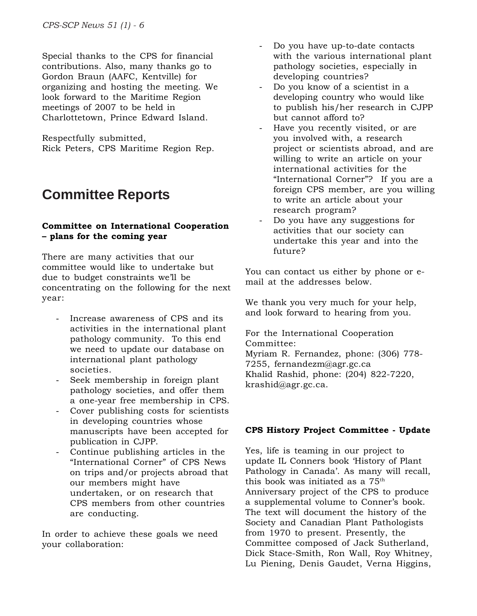Special thanks to the CPS for financial contributions. Also, many thanks go to Gordon Braun (AAFC, Kentville) for organizing and hosting the meeting. We look forward to the Maritime Region meetings of 2007 to be held in Charlottetown, Prince Edward Island.

Respectfully submitted, Rick Peters, CPS Maritime Region Rep.

# **Committee Reports**

#### **Committee on International Cooperation – plans for the coming year**

There are many activities that our committee would like to undertake but due to budget constraints we'll be concentrating on the following for the next year:

- Increase awareness of CPS and its activities in the international plant pathology community. To this end we need to update our database on international plant pathology societies.
- Seek membership in foreign plant pathology societies, and offer them a one-year free membership in CPS.
- Cover publishing costs for scientists in developing countries whose manuscripts have been accepted for publication in CJPP.
- Continue publishing articles in the "International Corner" of CPS News on trips and/or projects abroad that our members might have undertaken, or on research that CPS members from other countries are conducting.

In order to achieve these goals we need your collaboration:

- Do you have up-to-date contacts with the various international plant pathology societies, especially in developing countries?
- Do you know of a scientist in a developing country who would like to publish his/her research in CJPP but cannot afford to?
- Have you recently visited, or are you involved with, a research project or scientists abroad, and are willing to write an article on your international activities for the "International Corner"? If you are a foreign CPS member, are you willing to write an article about your research program?
- Do you have any suggestions for activities that our society can undertake this year and into the future?

You can contact us either by phone or email at the addresses below.

We thank you very much for your help, and look forward to hearing from you.

For the International Cooperation Committee: Myriam R. Fernandez, phone: (306) 778- 7255, fernandezm@agr.gc.ca Khalid Rashid, phone: (204) 822-7220, krashid@agr.gc.ca.

#### **CPS History Project Committee - Update**

Yes, life is teaming in our project to update IL Conners book 'History of Plant Pathology in Canada'. As many will recall, this book was initiated as a 75th Anniversary project of the CPS to produce a supplemental volume to Conner's book. The text will document the history of the Society and Canadian Plant Pathologists from 1970 to present. Presently, the Committee composed of Jack Sutherland, Dick Stace-Smith, Ron Wall, Roy Whitney, Lu Piening, Denis Gaudet, Verna Higgins,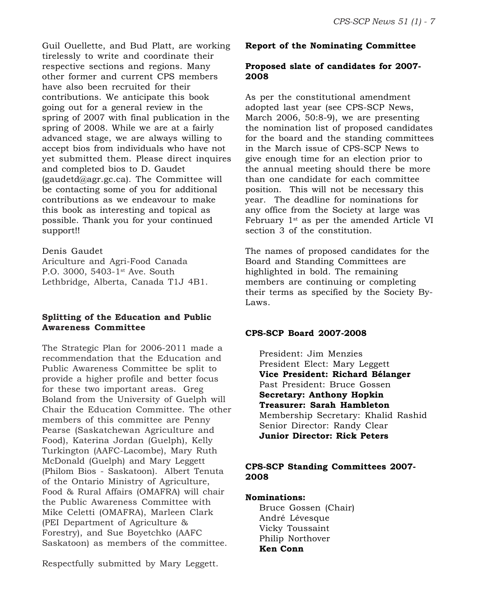Guil Ouellette, and Bud Platt, are working tirelessly to write and coordinate their respective sections and regions. Many other former and current CPS members have also been recruited for their contributions. We anticipate this book going out for a general review in the spring of 2007 with final publication in the spring of 2008. While we are at a fairly advanced stage, we are always willing to accept bios from individuals who have not yet submitted them. Please direct inquires and completed bios to D. Gaudet (gaudetd@agr.gc.ca). The Committee will be contacting some of you for additional contributions as we endeavour to make this book as interesting and topical as possible. Thank you for your continued support!!

#### Denis Gaudet

Ariculture and Agri-Food Canada P.O. 3000, 5403-1<sup>st</sup> Ave. South Lethbridge, Alberta, Canada T1J 4B1.

#### **Splitting of the Education and Public Awareness Committee**

The Strategic Plan for 2006-2011 made a recommendation that the Education and Public Awareness Committee be split to provide a higher profile and better focus for these two important areas. Greg Boland from the University of Guelph will Chair the Education Committee. The other members of this committee are Penny Pearse (Saskatchewan Agriculture and Food), Katerina Jordan (Guelph), Kelly Turkington (AAFC-Lacombe), Mary Ruth McDonald (Guelph) and Mary Leggett (Philom Bios - Saskatoon). Albert Tenuta of the Ontario Ministry of Agriculture, Food & Rural Affairs (OMAFRA) will chair the Public Awareness Committee with Mike Celetti (OMAFRA), Marleen Clark (PEI Department of Agriculture & Forestry), and Sue Boyetchko (AAFC Saskatoon) as members of the committee.

Respectfully submitted by Mary Leggett.

#### **Report of the Nominating Committee**

#### **Proposed slate of candidates for 2007- 2008**

As per the constitutional amendment adopted last year (see CPS-SCP News, March 2006, 50:8-9), we are presenting the nomination list of proposed candidates for the board and the standing committees in the March issue of CPS-SCP News to give enough time for an election prior to the annual meeting should there be more than one candidate for each committee position. This will not be necessary this year. The deadline for nominations for any office from the Society at large was February  $1^{st}$  as per the amended Article VI section 3 of the constitution.

The names of proposed candidates for the Board and Standing Committees are highlighted in bold. The remaining members are continuing or completing their terms as specified by the Society By-Laws.

#### **CPS-SCP Board 2007-2008**

President: Jim Menzies President Elect: Mary Leggett **Vice President: Richard Bélanger** Past President: Bruce Gossen **Secretary: Anthony Hopkin Treasurer: Sarah Hambleton** Membership Secretary: Khalid Rashid Senior Director: Randy Clear **Junior Director: Rick Peters**

#### **CPS-SCP Standing Committees 2007- 2008**

#### **Nominations:**

Bruce Gossen (Chair) André Lévesque Vicky Toussaint Philip Northover **Ken Conn**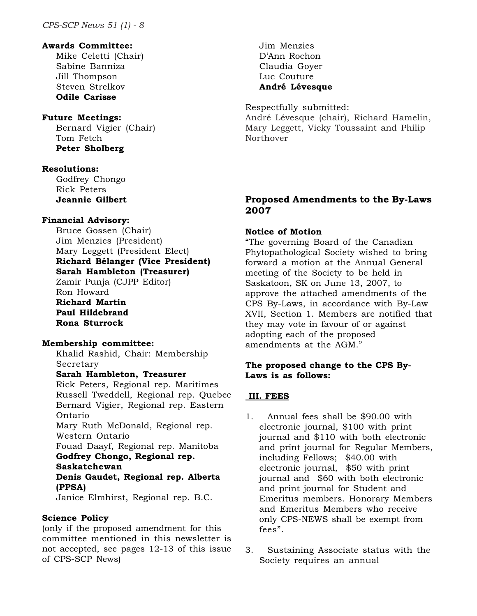#### **Awards Committee:**

Mike Celetti (Chair) Sabine Banniza Jill Thompson Steven Strelkov **Odile Carisse**

#### **Future Meetings:**

Bernard Vigier (Chair) Tom Fetch **Peter Sholberg**

#### **Resolutions:**

Godfrey Chongo Rick Peters **Jeannie Gilbert**

#### **Financial Advisory:**

Bruce Gossen (Chair) Jim Menzies (President) Mary Leggett (President Elect) **Richard Bélanger (Vice President) Sarah Hambleton (Treasurer)** Zamir Punja (CJPP Editor) Ron Howard **Richard Martin Paul Hildebrand Rona Sturrock**

#### **Membership committee:**

Khalid Rashid, Chair: Membership Secretary

#### **Sarah Hambleton, Treasurer**

Rick Peters, Regional rep. Maritimes Russell Tweddell, Regional rep. Quebec Bernard Vigier, Regional rep. Eastern Ontario Mary Ruth McDonald, Regional rep. Western Ontario Fouad Daayf, Regional rep. Manitoba **Godfrey Chongo, Regional rep. Saskatchewan Denis Gaudet, Regional rep. Alberta (PPSA)** Janice Elmhirst, Regional rep. B.C.

#### **Science Policy**

(only if the proposed amendment for this committee mentioned in this newsletter is not accepted, see pages 12-13 of this issue of CPS-SCP News)

Jim Menzies D'Ann Rochon Claudia Goyer Luc Couture **André Lévesque**

Respectfully submitted: André Lévesque (chair), Richard Hamelin, Mary Leggett, Vicky Toussaint and Philip Northover

#### **Proposed Amendments to the By-Laws 2007**

#### **Notice of Motion**

"The governing Board of the Canadian Phytopathological Society wished to bring forward a motion at the Annual General meeting of the Society to be held in Saskatoon, SK on June 13, 2007, to approve the attached amendments of the CPS By-Laws, in accordance with By-Law XVII, Section 1. Members are notified that they may vote in favour of or against adopting each of the proposed amendments at the AGM."

#### **The proposed change to the CPS By-Laws is as follows:**

#### **III. FEES**

- 1. Annual fees shall be \$90.00 with electronic journal, \$100 with print journal and \$110 with both electronic and print journal for Regular Members, including Fellows; \$40.00 with electronic journal, \$50 with print journal and \$60 with both electronic and print journal for Student and Emeritus members. Honorary Members and Emeritus Members who receive only CPS-NEWS shall be exempt from fees".
- 3. Sustaining Associate status with the Society requires an annual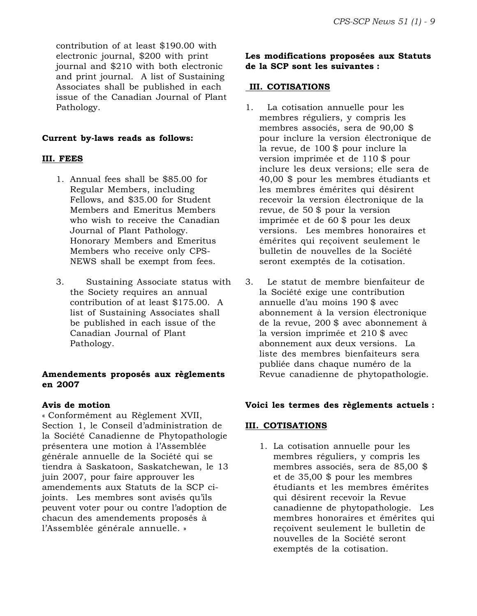contribution of at least \$190.00 with electronic journal, \$200 with print journal and \$210 with both electronic and print journal. A list of Sustaining Associates shall be published in each issue of the Canadian Journal of Plant Pathology.

#### **Current by-laws reads as follows:**

#### **III. FEES**

- 1. Annual fees shall be \$85.00 for Regular Members, including Fellows, and \$35.00 for Student Members and Emeritus Members who wish to receive the Canadian Journal of Plant Pathology. Honorary Members and Emeritus Members who receive only CPS-NEWS shall be exempt from fees.
- 3. Sustaining Associate status with the Society requires an annual contribution of at least \$175.00. A list of Sustaining Associates shall be published in each issue of the Canadian Journal of Plant Pathology.

#### **Amendements proposés aux règlements en 2007**

#### **Avis de motion**

« Conformément au Règlement XVII, Section 1, le Conseil d'administration de la Société Canadienne de Phytopathologie présentera une motion à l'Assemblée générale annuelle de la Société qui se tiendra à Saskatoon, Saskatchewan, le 13 juin 2007, pour faire approuver les amendements aux Statuts de la SCP cijoints. Les membres sont avisés qu'ils peuvent voter pour ou contre l'adoption de chacun des amendements proposés à l'Assemblée générale annuelle. »

#### **Les modifications proposées aux Statuts de la SCP sont les suivantes :**

#### **III. COTISATIONS**

- 1. La cotisation annuelle pour les membres réguliers, y compris les membres associés, sera de 90,00 \$ pour inclure la version électronique de la revue, de 100 \$ pour inclure la version imprimée et de 110 \$ pour inclure les deux versions; elle sera de 40,00 \$ pour les membres étudiants et les membres émérites qui désirent recevoir la version électronique de la revue, de 50 \$ pour la version imprimée et de 60 \$ pour les deux versions. Les membres honoraires et émérites qui reçoivent seulement le bulletin de nouvelles de la Société seront exemptés de la cotisation.
- 3. Le statut de membre bienfaiteur de la Société exige une contribution annuelle d'au moins 190 \$ avec abonnement à la version électronique de la revue, 200 \$ avec abonnement à la version imprimée et 210 \$ avec abonnement aux deux versions. La liste des membres bienfaiteurs sera publiée dans chaque numéro de la Revue canadienne de phytopathologie.

#### **Voici les termes des règlements actuels :**

#### **III. COTISATIONS**

1. La cotisation annuelle pour les membres réguliers, y compris les membres associés, sera de 85,00 \$ et de 35,00 \$ pour les membres étudiants et les membres émérites qui désirent recevoir la Revue canadienne de phytopathologie. Les membres honoraires et émérites qui reçoivent seulement le bulletin de nouvelles de la Société seront exemptés de la cotisation.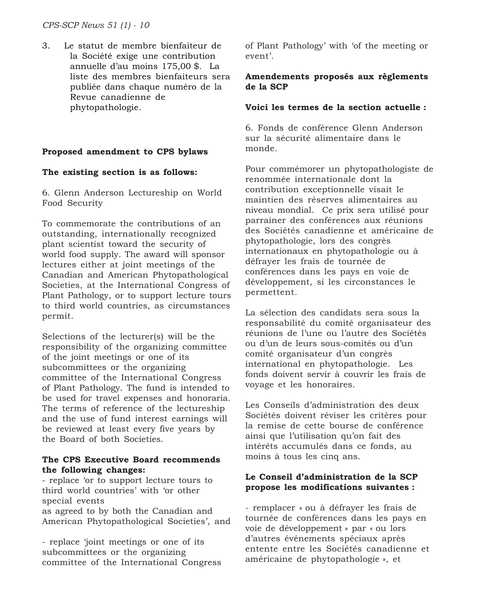*CPS-SCP News 51 (1) - 10*

3. Le statut de membre bienfaiteur de la Société exige une contribution annuelle d'au moins 175,00 \$. La liste des membres bienfaiteurs sera publiée dans chaque numéro de la Revue canadienne de phytopathologie.

#### **Proposed amendment to CPS bylaws**

#### **The existing section is as follows:**

6. Glenn Anderson Lectureship on World Food Security

To commemorate the contributions of an outstanding, internationally recognized plant scientist toward the security of world food supply. The award will sponsor lectures either at joint meetings of the Canadian and American Phytopathological Societies, at the International Congress of Plant Pathology, or to support lecture tours to third world countries, as circumstances permit.

Selections of the lecturer(s) will be the responsibility of the organizing committee of the joint meetings or one of its subcommittees or the organizing committee of the International Congress of Plant Pathology. The fund is intended to be used for travel expenses and honoraria. The terms of reference of the lectureship and the use of fund interest earnings will be reviewed at least every five years by the Board of both Societies.

#### **The CPS Executive Board recommends the following changes:**

- replace 'or to support lecture tours to third world countries' with 'or other special events as agreed to by both the Canadian and American Phytopathological Societies', and

- replace 'joint meetings or one of its subcommittees or the organizing committee of the International Congress of Plant Pathology' with 'of the meeting or event'.

#### **Amendements proposés aux règlements de la SCP**

#### **Voici les termes de la section actuelle :**

6. Fonds de conférence Glenn Anderson sur la sécurité alimentaire dans le monde.

Pour commémorer un phytopathologiste de renommée internationale dont la contribution exceptionnelle visait le maintien des réserves alimentaires au niveau mondial. Ce prix sera utilisé pour parrainer des conférences aux réunions des Sociétés canadienne et américaine de phytopathologie, lors des congrès internationaux en phytopathologie ou à défrayer les frais de tournée de conférences dans les pays en voie de développement, si les circonstances le permettent.

La sélection des candidats sera sous la responsabilité du comité organisateur des réunions de l'une ou l'autre des Sociétés ou d'un de leurs sous-comités ou d'un comité organisateur d'un congrès international en phytopathologie. Les fonds doivent servir à couvrir les frais de voyage et les honoraires.

Les Conseils d'administration des deux Sociétés doivent réviser les critères pour la remise de cette bourse de conférence ainsi que l'utilisation qu'on fait des intérêts accumulés dans ce fonds, au moins à tous les cinq ans.

#### **Le Conseil d'administration de la SCP propose les modifications suivantes :**

- remplacer « ou à défrayer les frais de tournée de conférences dans les pays en voie de développement » par « ou lors d'autres événements spéciaux après entente entre les Sociétés canadienne et américaine de phytopathologie », et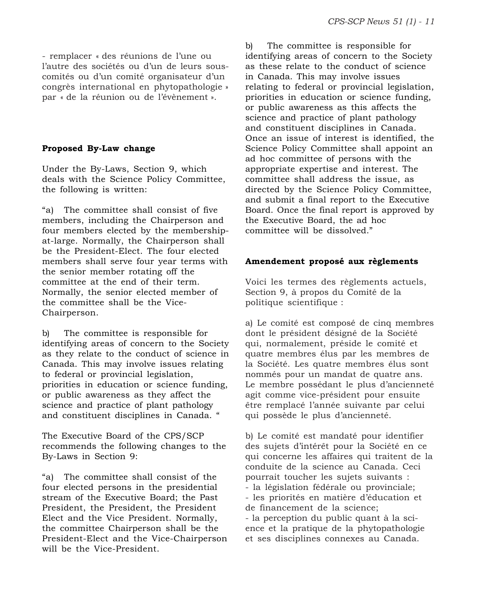- remplacer « des réunions de l'une ou l'autre des sociétés ou d'un de leurs souscomités ou d'un comité organisateur d'un congrès international en phytopathologie » par « de la réunion ou de l'évènement ».

#### **Proposed By-Law change**

Under the By-Laws, Section 9, which deals with the Science Policy Committee, the following is written:

"a) The committee shall consist of five members, including the Chairperson and four members elected by the membershipat-large. Normally, the Chairperson shall be the President-Elect. The four elected members shall serve four year terms with the senior member rotating off the committee at the end of their term. Normally, the senior elected member of the committee shall be the Vice-Chairperson.

b) The committee is responsible for identifying areas of concern to the Society as they relate to the conduct of science in Canada. This may involve issues relating to federal or provincial legislation, priorities in education or science funding, or public awareness as they affect the science and practice of plant pathology and constituent disciplines in Canada. "

The Executive Board of the CPS/SCP recommends the following changes to the By-Laws in Section 9:

"a) The committee shall consist of the four elected persons in the presidential stream of the Executive Board; the Past President, the President, the President Elect and the Vice President. Normally, the committee Chairperson shall be the President-Elect and the Vice-Chairperson will be the Vice-President.

b) The committee is responsible for identifying areas of concern to the Society as these relate to the conduct of science in Canada. This may involve issues relating to federal or provincial legislation, priorities in education or science funding, or public awareness as this affects the science and practice of plant pathology and constituent disciplines in Canada. Once an issue of interest is identified, the Science Policy Committee shall appoint an ad hoc committee of persons with the appropriate expertise and interest. The committee shall address the issue, as directed by the Science Policy Committee, and submit a final report to the Executive Board. Once the final report is approved by the Executive Board, the ad hoc committee will be dissolved."

#### **Amendement proposé aux règlements**

Voici les termes des règlements actuels, Section 9, à propos du Comité de la politique scientifique :

a) Le comité est composé de cinq membres dont le président désigné de la Société qui, normalement, préside le comité et quatre membres élus par les membres de la Société. Les quatre membres élus sont nommés pour un mandat de quatre ans. Le membre possédant le plus d'ancienneté agit comme vice-président pour ensuite être remplacé l'année suivante par celui qui possède le plus d'ancienneté.

b) Le comité est mandaté pour identifier des sujets d'intérêt pour la Société en ce qui concerne les affaires qui traitent de la conduite de la science au Canada. Ceci pourrait toucher les sujets suivants : - la législation fédérale ou provinciale; - les priorités en matière d'éducation et de financement de la science; - la perception du public quant à la science et la pratique de la phytopathologie et ses disciplines connexes au Canada.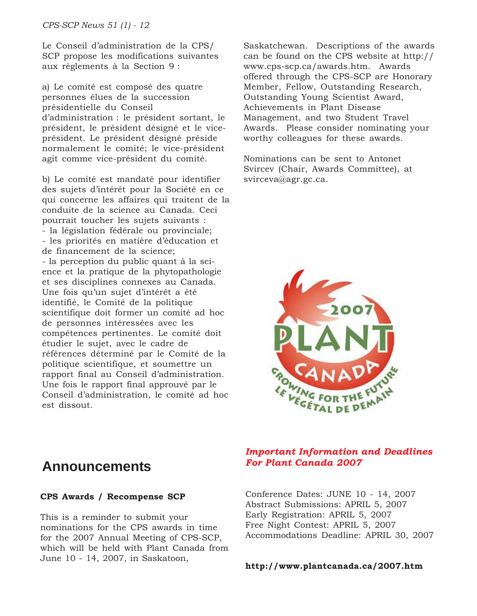Le Conseil d'administration de la CPS/ SCP propose les modifications suivantes aux règlements à la Section 9 :

a) Le comité est composé des quatre personnes élues de la succession présidentielle du Conseil d'administration : le président sortant, le président, le président désigné et le viceprésident. Le président désigné préside normalement le comité; le vice-président agit comme vice-président du comité.

b) Le comité est mandaté pour identifier des sujets d'intérêt pour la Société en ce qui concerne les affaires qui traitent de la conduite de la science au Canada. Ceci pourrait toucher les sujets suivants : - la législation fédérale ou provinciale; - les priorités en matière d'éducation et de financement de la science; - la perception du public quant à la science et la pratique de la phytopathologie et ses disciplines connexes au Canada. Une fois qu'un sujet d'intérêt a été identifié, le Comité de la politique scientifique doit former un comité ad hoc de personnes intéressées avec les compétences pertinentes. Le comité doit étudier le sujet, avec le cadre de références déterminé par le Comité de la politique scientifique, et soumettre un rapport final au Conseil d'administration. Une fois le rapport final approuvé par le Conseil d'administration, le comité ad hoc est dissout.

Saskatchewan. Descriptions of the awards can be found on the CPS website at http:// www.cps-scp.ca/awards.htm. Awards offered through the CPS-SCP are Honorary Member, Fellow, Outstanding Research, Outstanding Young Scientist Award, Achievements in Plant Disease Management, and two Student Travel Awards. Please consider nominating your worthy colleagues for these awards.

Nominations can be sent to Antonet Svircev (Chair, Awards Committee), at svirceva@agr.gc.ca.



### *Important Information and Deadlines For Plant Canada 2007*

#### Conference Dates: JUNE 10 - 14, 2007 Abstract Submissions: APRIL 5, 2007 Early Registration: APRIL 5, 2007 Free Night Contest: APRIL 5, 2007 Accommodations Deadline: APRIL 30, 2007

#### **http://www.plantcanada.ca/2007.htm**

### **Announcements**

#### **CPS Awards / Recompense SCP**

This is a reminder to submit your nominations for the CPS awards in time for the 2007 Annual Meeting of CPS-SCP, which will be held with Plant Canada from June 10 - 14, 2007, in Saskatoon,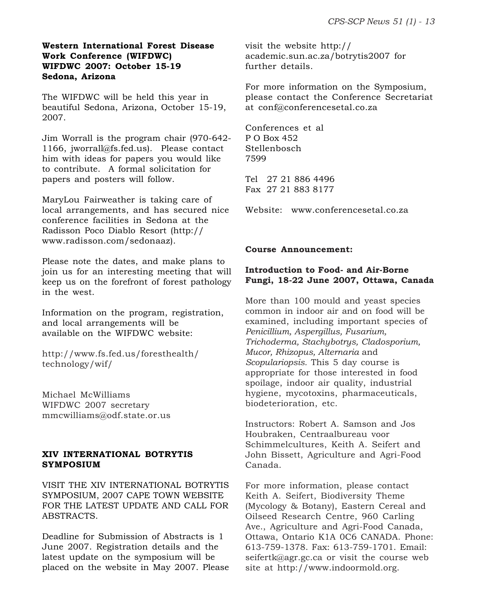#### **Western International Forest Disease Work Conference (WIFDWC) WIFDWC 2007: October 15-19 Sedona, Arizona**

The WIFDWC will be held this year in beautiful Sedona, Arizona, October 15-19, 2007.

Jim Worrall is the program chair (970-642- 1166, jworrall@fs.fed.us). Please contact him with ideas for papers you would like to contribute. A formal solicitation for papers and posters will follow.

MaryLou Fairweather is taking care of local arrangements, and has secured nice conference facilities in Sedona at the Radisson Poco Diablo Resort (http:// www.radisson.com/sedonaaz).

Please note the dates, and make plans to join us for an interesting meeting that will keep us on the forefront of forest pathology in the west.

Information on the program, registration, and local arrangements will be available on the WIFDWC website:

http://www.fs.fed.us/foresthealth/ technology/wif/

Michael McWilliams WIFDWC 2007 secretary mmcwilliams@odf.state.or.us

#### **XIV INTERNATIONAL BOTRYTIS SYMPOSIUM**

VISIT THE XIV INTERNATIONAL BOTRYTIS SYMPOSIUM, 2007 CAPE TOWN WEBSITE FOR THE LATEST UPDATE AND CALL FOR ABSTRACTS.

Deadline for Submission of Abstracts is 1 June 2007. Registration details and the latest update on the symposium will be placed on the website in May 2007. Please visit the website http:// academic.sun.ac.za/botrytis2007 for further details.

For more information on the Symposium, please contact the Conference Secretariat at conf@conferencesetal.co.za

Conferences et al P O Box 452 Stellenbosch 7599

Tel 27 21 886 4496 Fax 27 21 883 8177

Website: www.conferencesetal.co.za

#### **Course Announcement:**

#### **Introduction to Food- and Air-Borne Fungi, 18-22 June 2007, Ottawa, Canada**

More than 100 mould and yeast species common in indoor air and on food will be examined, including important species of *Penicillium, Aspergillus, Fusarium, Trichoderma, Stachybotrys, Cladosporium, Mucor, Rhizopus, Alternaria* and *Scopulariopsis.* This 5 day course is appropriate for those interested in food spoilage, indoor air quality, industrial hygiene, mycotoxins, pharmaceuticals, biodeterioration, etc.

Instructors: Robert A. Samson and Jos Houbraken, Centraalbureau voor Schimmelcultures, Keith A. Seifert and John Bissett, Agriculture and Agri-Food Canada.

For more information, please contact Keith A. Seifert, Biodiversity Theme (Mycology & Botany), Eastern Cereal and Oilseed Research Centre, 960 Carling Ave., Agriculture and Agri-Food Canada, Ottawa, Ontario K1A 0C6 CANADA. Phone: 613-759-1378. Fax: 613-759-1701. Email: seifertk@agr.gc.ca or visit the course web site at http://www.indoormold.org.